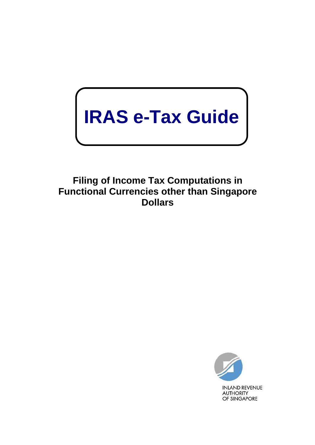# **IRAS e-Tax Guide**

**Filing of Income Tax Computations in Functional Currencies other than Singapore Dollars**

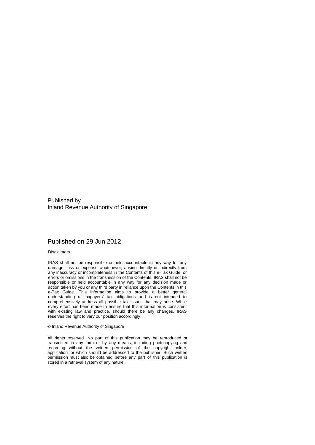Published by Inland Revenue Authority of Singapore

#### Published on 29 Jun 2012

#### Disclaimers

IRAS shall not be responsible or held accountable in any way for any damage, loss or expense whatsoever, arising directly or indirectly from any inaccuracy or incompleteness in the Contents of this e-Tax Guide, or errors or omissions in the transmission of the Contents. IRAS shall not be responsible or held accountable in any way for any decision made or action taken by you or any third party in reliance upon the Contents in this e-Tax Guide. This information aims to provide a better general understanding of taxpayers' tax obligations and is not intended to comprehensively address all possible tax issues that may arise. While every effort has been made to ensure that this information is consistent with existing law and practice, should there be any changes, IRAS reserves the right to vary our position accordingly.

#### © Inland Revenue Authority of Singapore

All rights reserved. No part of this publication may be reproduced or transmitted in any form or by any means, including photocopying and recording without the written permission of the copyright holder, application for which should be addressed to the publisher. Such written permission must also be obtained before any part of this publication is stored in a retrieval system of any nature.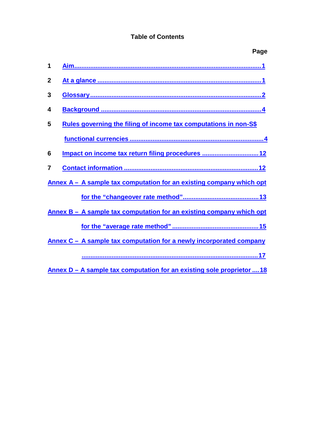## **Table of Contents**

|              | Page                                                                 |
|--------------|----------------------------------------------------------------------|
| 1            |                                                                      |
| $\mathbf{2}$ |                                                                      |
| 3            |                                                                      |
| 4            |                                                                      |
| 5            | Rules governing the filing of income tax computations in non-S\$     |
|              |                                                                      |
| 6            | Impact on income tax return filing procedures  12                    |
| 7            |                                                                      |
|              | Annex A - A sample tax computation for an existing company which opt |
|              |                                                                      |
|              | Annex B - A sample tax computation for an existing company which opt |
|              |                                                                      |
|              | Annex C – A sample tax computation for a newly incorporated company  |
|              |                                                                      |

**Annex D – A sample tax [computation for an existing](#page-20-0) sole proprietor ....18**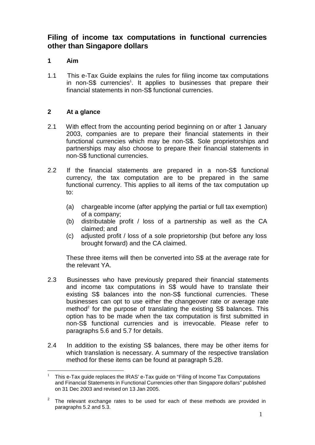# **Filing of income tax computations in functional currencies other than Singapore dollars**

## <span id="page-3-0"></span>**1 Aim**

1.1 This e-Tax Guide explains the rules for filing income tax computations in non-S\$ currencies<sup>1</sup>. It applies to businesses that prepare their financial statements in non-S\$ functional currencies.

## <span id="page-3-1"></span>**2 At a glance**

- 2.1 With effect from the accounting period beginning on or after 1 January 2003, companies are to prepare their financial statements in their functional currencies which may be non-S\$. Sole proprietorships and partnerships may also choose to prepare their financial statements in non-S\$ functional currencies.
- 2.2 If the financial statements are prepared in a non-S\$ functional currency, the tax computation are to be prepared in the same functional currency. This applies to all items of the tax computation up to:
	- (a) chargeable income (after applying the partial or full tax exemption) of a company;
	- (b) distributable profit / loss of a partnership as well as the CA claimed; and
	- (c) adjusted profit / loss of a sole proprietorship (but before any loss brought forward) and the CA claimed.

These three items will then be converted into S\$ at the average rate for the relevant YA.

- 2.3 Businesses who have previously prepared their financial statements and income tax computations in S\$ would have to translate their existing S\$ balances into the non-S\$ functional currencies. These businesses can opt to use either the changeover rate or average rate method<sup>2</sup> for the purpose of translating the existing  $S\$  balances. This option has to be made when the tax computation is first submitted in non-S\$ functional currencies and is irrevocable. Please refer to paragraphs 5.6 and 5.7 for details.
- 2.4 In addition to the existing S\$ balances, there may be other items for which translation is necessary. A summary of the respective translation method for these items can be found at paragraph 5.28.

<sup>&</sup>lt;sup>1</sup> This e-Tax guide replaces the IRAS' e-Tax guide on "Filing of Income Tax Computations and Financial Statements in Functional Currencies other than Singapore dollars" published on 31 Dec 2003 and revised on 13 Jan 2005.

 $2$  The relevant exchange rates to be used for each of these methods are provided in paragraphs 5.2 and 5.3.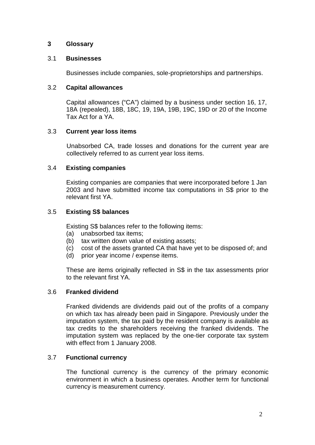## <span id="page-4-0"></span>**3 Glossary**

## 3.1 **Businesses**

Businesses include companies, sole-proprietorships and partnerships.

## 3.2 **Capital allowances**

Capital allowances ("CA") claimed by a business under section 16, 17, 18A (repealed), 18B, 18C, 19, 19A, 19B, 19C, 19D or 20 of the Income Tax Act for a YA.

## 3.3 **Current year loss items**

Unabsorbed CA, trade losses and donations for the current year are collectively referred to as current year loss items.

## 3.4 **Existing companies**

Existing companies are companies that were incorporated before 1 Jan 2003 and have submitted income tax computations in S\$ prior to the relevant first YA.

## 3.5 **Existing S\$ balances**

Existing S\$ balances refer to the following items:

- (a) unabsorbed tax items;
- (b) tax written down value of existing assets;
- (c) cost of the assets granted CA that have yet to be disposed of; and
- (d) prior year income / expense items.

These are items originally reflected in S\$ in the tax assessments prior to the relevant first YA.

## 3.6 **Franked dividend**

Franked dividends are dividends paid out of the profits of a company on which tax has already been paid in Singapore. Previously under the imputation system, the tax paid by the resident company is available as tax credits to the shareholders receiving the franked dividends. The imputation system was replaced by the one-tier corporate tax system with effect from 1 January 2008.

## 3.7 **Functional currency**

The functional currency is the currency of the primary economic environment in which a business operates. Another term for functional currency is measurement currency.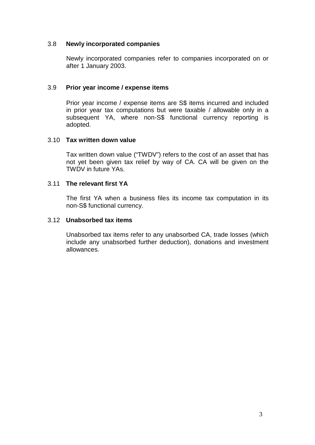## 3.8 **Newly incorporated companies**

Newly incorporated companies refer to companies incorporated on or after 1 January 2003.

## 3.9 **Prior year income / expense items**

Prior year income / expense items are S\$ items incurred and included in prior year tax computations but were taxable / allowable only in a subsequent YA, where non-S\$ functional currency reporting is adopted.

#### 3.10 **Tax written down value**

Tax written down value ("TWDV") refers to the cost of an asset that has not yet been given tax relief by way of CA. CA will be given on the TWDV in future YAs.

## 3.11 **The relevant first YA**

The first YA when a business files its income tax computation in its non-S\$ functional currency.

#### 3.12 **Unabsorbed tax items**

Unabsorbed tax items refer to any unabsorbed CA, trade losses (which include any unabsorbed further deduction), donations and investment allowances.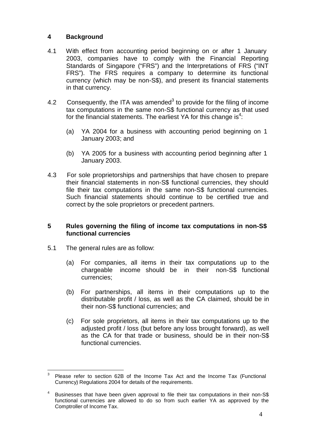## <span id="page-6-0"></span>**4 Background**

- 4.1 With effect from accounting period beginning on or after 1 January 2003, companies have to comply with the Financial Reporting Standards of Singapore ("FRS") and the Interpretations of FRS ("INT FRS"). The FRS requires a company to determine its functional currency (which may be non-S\$), and present its financial statements in that currency.
- 4.2 Consequently, the ITA was amended<sup>3</sup> to provide for the filing of income tax computations in the same non-S\$ functional currency as that used for the financial statements. The earliest YA for this change is<sup>4</sup>:
	- (a) YA 2004 for a business with accounting period beginning on 1 January 2003; and
	- (b) YA 2005 for a business with accounting period beginning after 1 January 2003.
- 4.3 For sole proprietorships and partnerships that have chosen to prepare their financial statements in non-S\$ functional currencies, they should file their tax computations in the same non-S\$ functional currencies. Such financial statements should continue to be certified true and correct by the sole proprietors or precedent partners.

## <span id="page-6-1"></span>**5 Rules governing the filing of income tax computations in non-S\$ functional currencies**

- 5.1 The general rules are as follow:
	- (a) For companies, all items in their tax computations up to the chargeable income should be in their non-S\$ functional currencies;
	- (b) For partnerships, all items in their computations up to the distributable profit / loss, as well as the CA claimed, should be in their non-S\$ functional currencies; and
	- (c) For sole proprietors, all items in their tax computations up to the adjusted profit / loss (but before any loss brought forward), as well as the CA for that trade or business, should be in their non-S\$ functional currencies.

 $3$  Please refer to section 62B of the Income Tax Act and the Income Tax (Functional Currency) Regulations 2004 for details of the requirements.

<sup>&</sup>lt;sup>4</sup> Businesses that have been given approval to file their tax computations in their non-S\$ functional currencies are allowed to do so from such earlier YA as approved by the Comptroller of Income Tax.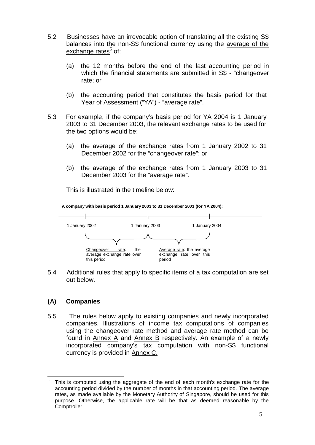- 5.2 Businesses have an irrevocable option of translating all the existing S\$ balances into the non-S\$ functional currency using the average of the exchange rates $5$  of:
	- (a) the 12 months before the end of the last accounting period in which the financial statements are submitted in S\$ - "changeover" rate; or
	- (b) the accounting period that constitutes the basis period for that Year of Assessment ("YA") - "average rate".
- 5.3 For example, if the company's basis period for YA 2004 is 1 January 2003 to 31 December 2003, the relevant exchange rates to be used for the two options would be:
	- (a) the average of the exchange rates from 1 January 2002 to 31 December 2002 for the "changeover rate"; or
	- (b) the average of the exchange rates from 1 January 2003 to 31 December 2003 for the "average rate".

This is illustrated in the timeline below:



5.4 Additional rules that apply to specific items of a tax computation are set out below.

## **(A) Companies**

5.5 The rules below apply to existing companies and newly incorporated companies. Illustrations of income tax computations of companies using the changeover rate method and average rate method can be found in Annex A and Annex B respectively. An example of a newly incorporated company's tax computation with non-S\$ functional currency is provided in Annex C.

 $5$  This is computed using the aggregate of the end of each month's exchange rate for the accounting period divided by the number of months in that accounting period. The average rates, as made available by the Monetary Authority of Singapore, should be used for this purpose. Otherwise, the applicable rate will be that as deemed reasonable by the Comptroller.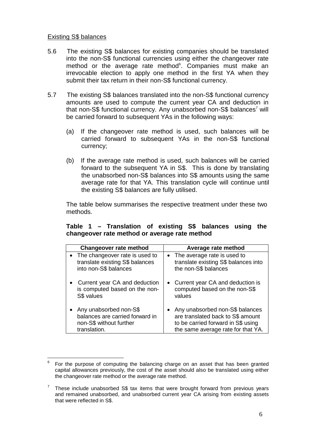## Existing S\$ balances

- 5.6 The existing S\$ balances for existing companies should be translated into the non-S\$ functional currencies using either the changeover rate method or the average rate method<sup>6</sup>. Companies must make an irrevocable election to apply one method in the first YA when they submit their tax return in their non-S\$ functional currency.
- 5.7 The existing S\$ balances translated into the non-S\$ functional currency amounts are used to compute the current year CA and deduction in that non-S\$ functional currency. Any unabsorbed non-S\$ balances<sup>7</sup> will be carried forward to subsequent YAs in the following ways:
	- (a) If the changeover rate method is used, such balances will be carried forward to subsequent YAs in the non-S\$ functional currency;
	- (b) If the average rate method is used, such balances will be carried forward to the subsequent YA in S\$. This is done by translating the unabsorbed non-S\$ balances into S\$ amounts using the same average rate for that YA. This translation cycle will continue until the existing S\$ balances are fully utilised.

The table below summarises the respective treatment under these two methods.

## **Table 1 – Translation of existing S\$ balances using the changeover rate method or average rate method**

| <b>Changeover rate method</b>    | Average rate method                  |
|----------------------------------|--------------------------------------|
| • The changeover rate is used to | • The average rate is used to        |
| translate existing S\$ balances  | translate existing S\$ balances into |
| into non-S\$ balances            | the non-S\$ balances                 |
| Current year CA and deduction    | Current year CA and deduction is     |
| is computed based on the non-    | computed based on the non-S\$        |
| S\$ values                       | values                               |
| Any unabsorbed non-S\$           | Any unabsorbed non-S\$ balances      |
| balances are carried forward in  | are translated back to S\$ amount    |
| non-S\$ without further          | to be carried forward in S\$ using   |
| translation.                     | the same average rate for that YA.   |

 $6$  For the purpose of computing the balancing charge on an asset that has been granted capital allowances previously, the cost of the asset should also be translated using either the changeover rate method or the average rate method.

 $7$  These include unabsorbed S\$ tax items that were brought forward from previous years and remained unabsorbed, and unabsorbed current year CA arising from existing assets that were reflected in S\$.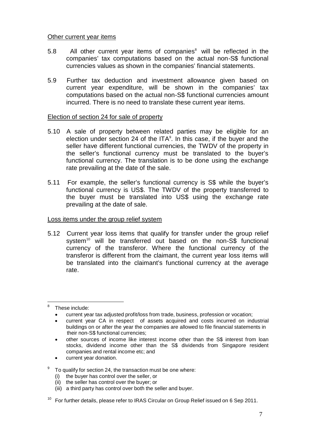## Other current year items

- $5.8$  All other current year items of companies<sup>8</sup> will be reflected in the companies' tax computations based on the actual non-S\$ functional currencies values as shown in the companies' financial statements.
- 5.9 Further tax deduction and investment allowance given based on current year expenditure, will be shown in the companies' tax computations based on the actual non-S\$ functional currencies amount incurred. There is no need to translate these current year items.

#### Election of section 24 for sale of property

- 5.10 A sale of property between related parties may be eligible for an election under section 24 of the  $ITA<sup>9</sup>$ . In this case, if the buyer and the seller have different functional currencies, the TWDV of the property in the seller's functional currency must be translated to the buyer's functional currency. The translation is to be done using the exchange rate prevailing at the date of the sale.
- 5.11 For example, the seller's functional currency is S\$ while the buyer's functional currency is US\$. The TWDV of the property transferred to the buyer must be translated into US\$ using the exchange rate prevailing at the date of sale.

#### Loss items under the group relief system

5.12 Current year loss items that qualify for transfer under the group relief system<sup>10</sup> will be transferred out based on the non-S\$ functional currency of the transferor. Where the functional currency of the transferor is different from the claimant, the current year loss items will be translated into the claimant's functional currency at the average rate.

- other sources of income like interest income other than the S\$ interest from loan stocks, dividend income other than the S\$ dividends from Singapore resident companies and rental income etc; and
- current year donation.

 $9$  To qualify for section 24, the transaction must be one where:

- (i) the buyer has control over the seller, or
- (ii) the seller has control over the buyer; or
- (iii) a third party has control over both the seller and buyer.

<sup>&</sup>lt;sup>8</sup> These include:

<sup>•</sup> current year tax adjusted profit/loss from trade, business, profession or vocation;

<sup>•</sup> current year CA in respect of assets acquired and costs incurred on industrial buildings on or after the year the companies are allowed to file financial statements in their non-S\$ functional currencies;

 $10$  For further details, please refer to IRAS Circular on Group Relief issued on 6 Sep 2011.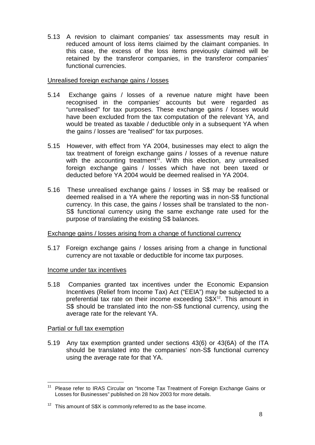5.13 A revision to claimant companies' tax assessments may result in reduced amount of loss items claimed by the claimant companies. In this case, the excess of the loss items previously claimed will be retained by the transferor companies, in the transferor companies' functional currencies.

## Unrealised foreign exchange gains / losses

- 5.14 Exchange gains / losses of a revenue nature might have been recognised in the companies' accounts but were regarded as "unrealised" for tax purposes. These exchange gains / losses would have been excluded from the tax computation of the relevant YA, and would be treated as taxable / deductible only in a subsequent YA when the gains / losses are "realised" for tax purposes.
- 5.15 However, with effect from YA 2004, businesses may elect to align the tax treatment of foreign exchange gains / losses of a revenue nature with the accounting treatment<sup>11</sup>. With this election, any unrealised foreign exchange gains / losses which have not been taxed or deducted before YA 2004 would be deemed realised in YA 2004.
- 5.16 These unrealised exchange gains / losses in S\$ may be realised or deemed realised in a YA where the reporting was in non-S\$ functional currency. In this case, the gains / losses shall be translated to the non-S\$ functional currency using the same exchange rate used for the purpose of translating the existing S\$ balances.

## Exchange gains / losses arising from a change of functional currency

5.17 Foreign exchange gains / losses arising from a change in functional currency are not taxable or deductible for income tax purposes.

#### Income under tax incentives

5.18 Companies granted tax incentives under the Economic Expansion Incentives (Relief from Income Tax) Act ("EEIA") may be subjected to a preferential tax rate on their income exceeding S\$X<sup>12</sup>. This amount in S\$ should be translated into the non-S\$ functional currency, using the average rate for the relevant YA.

## Partial or full tax exemption

5.19 Any tax exemption granted under sections 43(6) or 43(6A) of the ITA should be translated into the companies' non-S\$ functional currency using the average rate for that YA.

<sup>&</sup>lt;sup>11</sup> Please refer to IRAS Circular on "Income Tax Treatment of Foreign Exchange Gains or Losses for Businesses" published on 28 Nov 2003 for more details.

 $12$  This amount of S\$X is commonly referred to as the base income.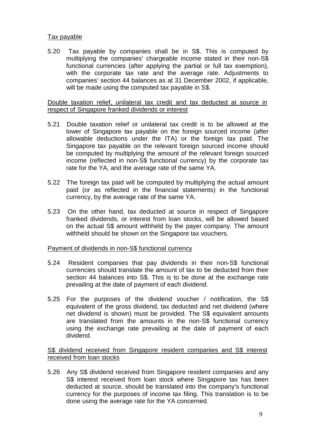## Tax payable

5.20 Tax payable by companies shall be in S\$. This is computed by multiplying the companies' chargeable income stated in their non-S\$ functional currencies (after applying the partial or full tax exemption), with the corporate tax rate and the average rate. Adjustments to companies' section 44 balances as at 31 December 2002, if applicable, will be made using the computed tax payable in S\$.

#### Double taxation relief, unilateral tax credit and tax deducted at source in respect of Singapore franked dividends or interest

- 5.21 Double taxation relief or unilateral tax credit is to be allowed at the lower of Singapore tax payable on the foreign sourced income (after allowable deductions under the ITA) or the foreign tax paid. The Singapore tax payable on the relevant foreign sourced income should be computed by multiplying the amount of the relevant foreign sourced income (reflected in non-S\$ functional currency) by the corporate tax rate for the YA, and the average rate of the same YA.
- 5.22 The foreign tax paid will be computed by multiplying the actual amount paid (or as reflected in the financial statements) in the functional currency, by the average rate of the same YA.
- 5.23 On the other hand, tax deducted at source in respect of Singapore franked dividends, or interest from loan stocks, will be allowed based on the actual S\$ amount withheld by the payer company. The amount withheld should be shown on the Singapore tax vouchers.

## Payment of dividends in non-S\$ functional currency

- 5.24 Resident companies that pay dividends in their non-S\$ functional currencies should translate the amount of tax to be deducted from their section 44 balances into S\$. This is to be done at the exchange rate prevailing at the date of payment of each dividend.
- 5.25 For the purposes of the dividend voucher / notification, the S\$ equivalent of the gross dividend, tax deducted and net dividend (where net dividend is shown) must be provided. The S\$ equivalent amounts are translated from the amounts in the non-S\$ functional currency using the exchange rate prevailing at the date of payment of each dividend.

## S\$ dividend received from Singapore resident companies and S\$ interest received from loan stocks

5.26 Any S\$ dividend received from Singapore resident companies and any S\$ interest received from loan stock where Singapore tax has been deducted at source, should be translated into the company's functional currency for the purposes of income tax filing. This translation is to be done using the average rate for the YA concerned.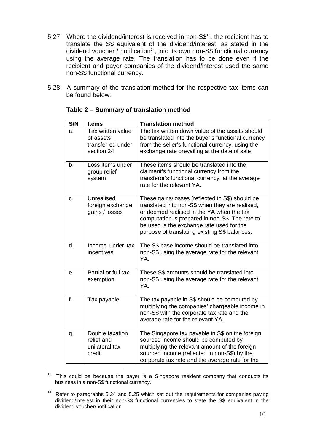- 5.27 Where the dividend/interest is received in non-S\$<sup>13</sup>, the recipient has to translate the S\$ equivalent of the dividend/interest, as stated in the dividend voucher / notification<sup>14</sup>, into its own non-S\$ functional currency using the average rate. The translation has to be done even if the recipient and payer companies of the dividend/interest used the same non-S\$ functional currency.
- 5.28 A summary of the translation method for the respective tax items can be found below:

| S/N | <b>Items</b>                                                      | <b>Translation method</b>                                                                                                                                                                                                                                                                        |
|-----|-------------------------------------------------------------------|--------------------------------------------------------------------------------------------------------------------------------------------------------------------------------------------------------------------------------------------------------------------------------------------------|
| a.  | Tax written value<br>of assets<br>transferred under<br>section 24 | The tax written down value of the assets should<br>be translated into the buyer's functional currency<br>from the seller's functional currency, using the<br>exchange rate prevailing at the date of sale                                                                                        |
| b.  | Loss items under<br>group relief<br>system                        | These items should be translated into the<br>claimant's functional currency from the<br>transferor's functional currency, at the average<br>rate for the relevant YA.                                                                                                                            |
| C.  | Unrealised<br>foreign exchange<br>gains / losses                  | These gains/losses (reflected in S\$) should be<br>translated into non-S\$ when they are realised,<br>or deemed realised in the YA when the tax<br>computation is prepared in non-S\$. The rate to<br>be used is the exchange rate used for the<br>purpose of translating existing S\$ balances. |
| d.  | Income under tax<br>incentives                                    | The S\$ base income should be translated into<br>non-S\$ using the average rate for the relevant<br>YA.                                                                                                                                                                                          |
| е.  | Partial or full tax<br>exemption                                  | These S\$ amounts should be translated into<br>non-S\$ using the average rate for the relevant<br>YA.                                                                                                                                                                                            |
| f.  | Tax payable                                                       | The tax payable in S\$ should be computed by<br>multiplying the companies' chargeable income in<br>non-S\$ with the corporate tax rate and the<br>average rate for the relevant YA.                                                                                                              |
| g.  | Double taxation<br>relief and<br>unilateral tax<br>credit         | The Singapore tax payable in S\$ on the foreign<br>sourced income should be computed by<br>multiplying the relevant amount of the foreign<br>sourced income (reflected in non-S\$) by the<br>corporate tax rate and the average rate for the                                                     |

## **Table 2 – Summary of translation method**

 $13$  This could be because the payer is a Singapore resident company that conducts its business in a non-S\$ functional currency.

<sup>&</sup>lt;sup>14</sup> Refer to paragraphs 5.24 and 5.25 which set out the requirements for companies paying dividend/interest in their non-S\$ functional currencies to state the S\$ equivalent in the dividend voucher/notification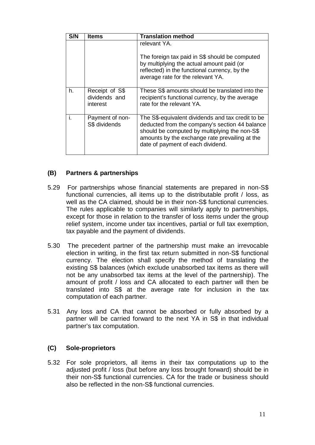| S/N | ltems                                       | <b>Translation method</b>                                                                                                                                                                                                                   |
|-----|---------------------------------------------|---------------------------------------------------------------------------------------------------------------------------------------------------------------------------------------------------------------------------------------------|
|     |                                             | relevant YA.                                                                                                                                                                                                                                |
|     |                                             | The foreign tax paid in S\$ should be computed<br>by multiplying the actual amount paid (or<br>reflected) in the functional currency, by the<br>average rate for the relevant YA.                                                           |
| h.  | Receipt of S\$<br>dividends and<br>interest | These S\$ amounts should be translated into the<br>recipient's functional currency, by the average<br>rate for the relevant YA.                                                                                                             |
| i.  | Payment of non-<br>S\$ dividends            | The S\$-equivalent dividends and tax credit to be<br>deducted from the company's section 44 balance<br>should be computed by multiplying the non-S\$<br>amounts by the exchange rate prevailing at the<br>date of payment of each dividend. |

## **(B) Partners & partnerships**

- 5.29 For partnerships whose financial statements are prepared in non-S\$ functional currencies, all items up to the distributable profit / loss, as well as the CA claimed, should be in their non-S\$ functional currencies. The rules applicable to companies will similarly apply to partnerships, except for those in relation to the transfer of loss items under the group relief system, income under tax incentives, partial or full tax exemption, tax payable and the payment of dividends.
- 5.30 The precedent partner of the partnership must make an irrevocable election in writing, in the first tax return submitted in non-S\$ functional currency. The election shall specify the method of translating the existing S\$ balances (which exclude unabsorbed tax items as there will not be any unabsorbed tax items at the level of the partnership). The amount of profit / loss and CA allocated to each partner will then be translated into S\$ at the average rate for inclusion in the tax computation of each partner.
- 5.31 Any loss and CA that cannot be absorbed or fully absorbed by a partner will be carried forward to the next YA in S\$ in that individual partner's tax computation.

## **(C) Sole-proprietors**

5.32 For sole proprietors, all items in their tax computations up to the adjusted profit / loss (but before any loss brought forward) should be in their non-S\$ functional currencies. CA for the trade or business should also be reflected in the non-S\$ functional currencies.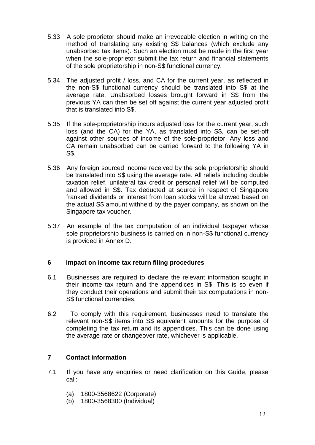- 5.33 A sole proprietor should make an irrevocable election in writing on the method of translating any existing S\$ balances (which exclude any unabsorbed tax items). Such an election must be made in the first year when the sole-proprietor submit the tax return and financial statements of the sole proprietorship in non-S\$ functional currency.
- 5.34 The adjusted profit / loss, and CA for the current year, as reflected in the non-S\$ functional currency should be translated into S\$ at the average rate. Unabsorbed losses brought forward in S\$ from the previous YA can then be set off against the current year adjusted profit that is translated into S\$.
- 5.35 If the sole-proprietorship incurs adjusted loss for the current year, such loss (and the CA) for the YA, as translated into S\$, can be set-off against other sources of income of the sole-proprietor. Any loss and CA remain unabsorbed can be carried forward to the following YA in S\$.
- 5.36 Any foreign sourced income received by the sole proprietorship should be translated into S\$ using the average rate. All reliefs including double taxation relief, unilateral tax credit or personal relief will be computed and allowed in S\$. Tax deducted at source in respect of Singapore franked dividends or interest from loan stocks will be allowed based on the actual S\$ amount withheld by the payer company, as shown on the Singapore tax voucher.
- 5.37 An example of the tax computation of an individual taxpayer whose sole proprietorship business is carried on in non-S\$ functional currency is provided in Annex D.

## <span id="page-14-0"></span>**6 Impact on income tax return filing procedures**

- 6.1 Businesses are required to declare the relevant information sought in their income tax return and the appendices in S\$. This is so even if they conduct their operations and submit their tax computations in non-S\$ functional currencies.
- 6.2 To comply with this requirement, businesses need to translate the relevant non-S\$ items into S\$ equivalent amounts for the purpose of completing the tax return and its appendices. This can be done using the average rate or changeover rate, whichever is applicable.

## <span id="page-14-1"></span>**7 Contact information**

- 7.1 If you have any enquiries or need clarification on this Guide, please call:
	- (a) 1800-3568622 (Corporate)
	- (b) 1800-3568300 (Individual)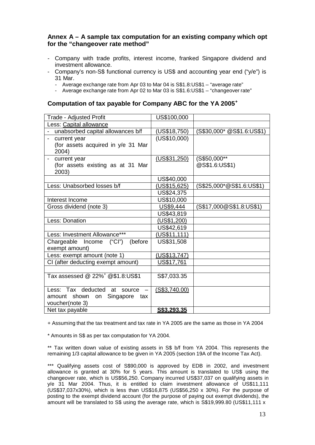#### <span id="page-15-0"></span>**Annex A – A sample tax computation for an existing company which opt for the "changeover rate method"**

- Company with trade profits, interest income, franked Singapore dividend and investment allowance.
- Company's non-S\$ functional currency is US\$ and accounting year end ("y/e") is 31 Mar.
	- Average exchange rate from Apr 03 to Mar 04 is S\$1.8:US\$1 "average rate"
	- Average exchange rate from Apr 02 to Mar 03 is S\$1.6:US\$1 "changeover rate"

#### **Computation of tax payable for Company ABC for the YA 2005<sup>+</sup>**

| Trade - Adjusted Profit                      | US\$100,000         |                            |
|----------------------------------------------|---------------------|----------------------------|
| Less: Capital allowance                      |                     |                            |
| unabsorbed capital allowances b/f            | (US\$18,750)        | (S\$30,000* @S\$1.6:US\$1) |
| current year                                 | (US\$10,000)        |                            |
| (for assets acquired in y/e 31 Mar           |                     |                            |
| 2004)                                        |                     |                            |
| current year                                 | (USS31,250)         | (S\$50,000**               |
| (for assets existing as at 31 Mar            |                     | @S\$1.6:US\$1)             |
| 2003)                                        |                     |                            |
|                                              | US\$40,000          |                            |
| Less: Unabsorbed losses b/f                  | <u>(US\$15,625)</u> | (S\$25,000*@S\$1.6:US\$1)  |
|                                              | US\$24,375          |                            |
| Interest Income                              | US\$10,000          |                            |
| Gross dividend (note 3)                      | US\$9,444           | (S\$17,000@S\$1.8:US\$1)   |
|                                              | US\$43,819          |                            |
| Less: Donation                               | (US\$1,200)         |                            |
|                                              | US\$42,619          |                            |
| Less: Investment Allowance***                | (US\$11,111)        |                            |
| Chargeable Income ("CI")<br>(before          | US\$31,508          |                            |
| exempt amount)                               |                     |                            |
| Less: exempt amount (note 1)                 | (US\$13,747)        |                            |
| CI (after deducting exempt amount)           | US\$17,761          |                            |
|                                              |                     |                            |
| Tax assessed @ 22% <sup>+</sup> @\$1.8:US\$1 | S\$7,033.35         |                            |
|                                              |                     |                            |
| Less: Tax deducted at source                 | (S\$3,740.00)       |                            |
| shown<br>Singapore<br>amount<br>on<br>tax    |                     |                            |
| voucher(note 3)                              |                     |                            |
| Net tax payable                              | S\$3,293.35         |                            |

+ Assuming that the tax treatment and tax rate in YA 2005 are the same as those in YA 2004

\* Amounts in S\$ as per tax computation for YA 2004.

\*\* Tax written down value of existing assets in S\$ b/f from YA 2004. This represents the remaining 1/3 capital allowance to be given in YA 2005 (section 19A of the Income Tax Act).

\*\*\* Qualifying assets cost of S\$90,000 is approved by EDB in 2002, and investment allowance is granted at 30% for 5 years. This amount is translated to US\$ using the changeover rate, which is US\$56,250. Company incurred US\$37,037 on qualifying assets in y/e 31 Mar 2004. Thus, it is entitled to claim investment allowance of US\$11,111 (US\$37,037x30%), which is less than US\$16,875 (US\$56,250 x 30%). For the purpose of posting to the exempt dividend account (for the purpose of paying out exempt dividends), the amount will be translated to S\$ using the average rate, which is S\$19,999.80 (US\$11,111 x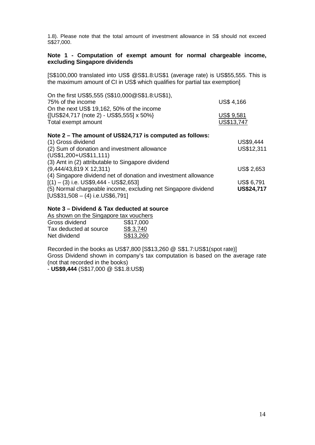1.8). Please note that the total amount of investment allowance in S\$ should not exceed S\$27,000.

#### **Note 1 - Computation of exempt amount for normal chargeable income, excluding Singapore dividends**

[S\$100,000 translated into US\$ @S\$1.8:US\$1 (average rate) is US\$55,555. This is the maximum amount of CI in US\$ which qualifies for partial tax exemption]

| On the first US\$5,555 (S\$10,000@S\$1.8:US\$1), |                   |
|--------------------------------------------------|-------------------|
| 75% of the income                                | <b>US\$ 4,166</b> |
| On the next US\$ 19,162, 50% of the income       |                   |
| {[US\$24,717 (note 2) - US\$5,555] x 50%}        | <b>US\$ 9,581</b> |
| Total exempt amount                              | US\$13,747        |
|                                                  |                   |

#### **Note 2 – The amount of US\$24,717 is computed as follows:**

| (1) Gross dividend                                              | US\$9,444         |
|-----------------------------------------------------------------|-------------------|
| (2) Sum of donation and investment allowance                    | US\$12,311        |
| (US\$1,200+US\$11,111)                                          |                   |
| (3) Amt in (2) attributable to Singapore dividend               |                   |
| $(9,444/43,819 \times 12,311)$                                  | <b>US\$ 2,653</b> |
| (4) Singapore dividend net of donation and investment allowance |                   |
| $[(1) - (3)$ i.e. US\$9,444 - US\$2,653]                        | <b>US\$ 6,791</b> |
| (5) Normal chargeable income, excluding net Singapore dividend  | US\$24,717        |
| $[US$31,508 - (4) i.e. US$6,791]$                               |                   |

#### **Note 3 – Dividend & Tax deducted at source**

As shown on the Singapore tax vouchers<br>Gross dividend <br>S\$17,000 Gross dividend S\$17,000<br>Tax deducted at source S\$ 3,740 Tax deducted at source <br>Net dividend <br>S\$13,260 Net dividend

Recorded in the books as US\$7,800 [S\$13,260 @ S\$1.7:US\$1(spot rate)] Gross Dividend shown in company's tax computation is based on the average rate (not that recorded in the books)

- **US\$9,444** (S\$17,000 @ S\$1.8:US\$)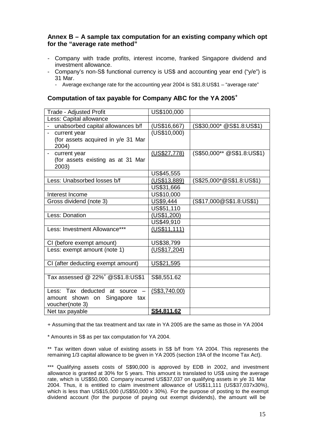## <span id="page-17-0"></span>**Annex B – A sample tax computation for an existing company which opt for the "average rate method"**

- Company with trade profits, interest income, franked Singapore dividend and investment allowance.
- Company's non-S\$ functional currency is US\$ and accounting year end ("y/e") is 31 Mar.
	- Average exchange rate for the accounting year 2004 is S\$1.8:US\$1 "average rate"

#### **Computation of tax payable for Company ABC for the YA 2005<sup>+</sup>**

| Trade - Adjusted Profit                       | US\$100,000   |                             |
|-----------------------------------------------|---------------|-----------------------------|
| Less: Capital allowance                       |               |                             |
| unabsorbed capital allowances b/f             | (US\$16,667)  | (S\$30,000* @S\$1.8:US\$1)  |
| current year                                  | (US\$10,000)  |                             |
| (for assets acquired in y/e 31 Mar            |               |                             |
| 2004)                                         |               |                             |
| current year                                  | (US\$27,778)  | (S\$50,000** @S\$1.8:US\$1) |
| (for assets existing as at 31 Mar             |               |                             |
| 2003)                                         |               |                             |
|                                               | US\$45,555    |                             |
| Less: Unabsorbed losses b/f                   | (US\$13,889)  | (S\$25,000*@S\$1.8:US\$1)   |
|                                               | US\$31,666    |                             |
| Interest Income                               | US\$10,000    |                             |
| Gross dividend (note 3)                       | US\$9,444     | (S\$17,000@S\$1.8:US\$1)    |
|                                               | US\$51,110    |                             |
| Less: Donation                                | (US\$1,200)   |                             |
|                                               | US\$49,910    |                             |
| Less: Investment Allowance***                 | (US\$11,111)  |                             |
|                                               |               |                             |
| CI (before exempt amount)                     | US\$38,799    |                             |
| Less: exempt amount (note 1)                  | (US\$17,204)  |                             |
|                                               |               |                             |
| CI (after deducting exempt amount)            | US\$21,595    |                             |
|                                               |               |                             |
| Tax assessed @ 22% <sup>+</sup> @S\$1.8:US\$1 | S\$8,551.62   |                             |
|                                               |               |                             |
| Less: Tax deducted at source -                | (S\$3,740.00) |                             |
| amount shown on Singapore tax                 |               |                             |
| voucher(note 3)                               |               |                             |
| Net tax payable                               | S\$4.811.62   |                             |

+ Assuming that the tax treatment and tax rate in YA 2005 are the same as those in YA 2004

\* Amounts in S\$ as per tax computation for YA 2004.

\*\* Tax written down value of existing assets in S\$ b/f from YA 2004. This represents the remaining 1/3 capital allowance to be given in YA 2005 (section 19A of the Income Tax Act).

\*\*\* Qualifying assets costs of S\$90,000 is approved by EDB in 2002, and investment allowance is granted at 30% for 5 years. This amount is translated to US\$ using the average rate, which is US\$50,000. Company incurred US\$37,037 on qualifying assets in y/e 31 Mar 2004. Thus, it is entitled to claim investment allowance of US\$11,111 (US\$37,037x30%), which is less than US\$15,000 (US\$50,000 x 30%). For the purpose of posting to the exempt dividend account (for the purpose of paying out exempt dividends), the amount will be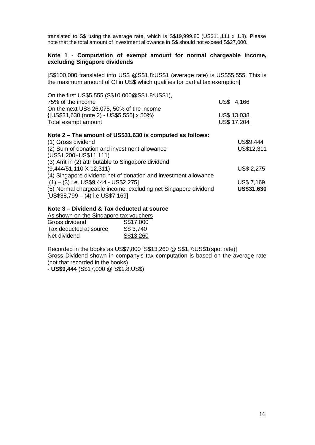translated to S\$ using the average rate, which is S\$19,999.80 (US\$11,111 x 1.8). Please note that the total amount of investment allowance in S\$ should not exceed S\$27,000.

#### **Note 1 - Computation of exempt amount for normal chargeable income, excluding Singapore dividends**

[S\$100,000 translated into US\$ @S\$1.8:US\$1 (average rate) is US\$55,555. This is the maximum amount of CI in US\$ which qualifies for partial tax exemption]

| On the first US\$5,555 (S\$10,000 $@$ S\$1.8:US\$1),            |                   |
|-----------------------------------------------------------------|-------------------|
| 75% of the income                                               | 4,166<br>US\$     |
| On the next US\$ 26,075, 50% of the income                      |                   |
| {[US\$31,630 (note 2) - US\$5,555] x 50%}                       | US\$ 13,038       |
| Total exempt amount                                             | US\$ 17,204       |
| Note 2 – The amount of US\$31,630 is computed as follows:       |                   |
| (1) Gross dividend                                              | US\$9,444         |
| (2) Sum of donation and investment allowance                    | US\$12,311        |
| $(US$1,200+US$11,111)$                                          |                   |
| (3) Amt in (2) attributable to Singapore dividend               |                   |
| $(9,444/51,110 \times 12,311)$                                  | <b>US\$ 2,275</b> |
| (4) Singapore dividend net of donation and investment allowance |                   |
| $[(1) - (3)$ i.e. US\$9,444 - US\$2,275]                        | <b>US\$7,169</b>  |
| (5) Normal chargeable income, excluding net Singapore dividend  | <b>US\$31,630</b> |

[US\$38,799 – (4) i.e.US\$7,169]

#### **Note 3 – Dividend & Tax deducted at source**

As shown on the Singapore tax vouchers<br>Gross dividend <br>S\$17,000 Gross dividend

| Tax deducted at source | S\$ 3,740 |
|------------------------|-----------|
| Net dividend           | S\$13,260 |

Recorded in the books as US\$7,800 [S\$13,260 @ S\$1.7:US\$1(spot rate)] Gross Dividend shown in company's tax computation is based on the average rate (not that recorded in the books)

- **US\$9,444** (S\$17,000 @ S\$1.8:US\$)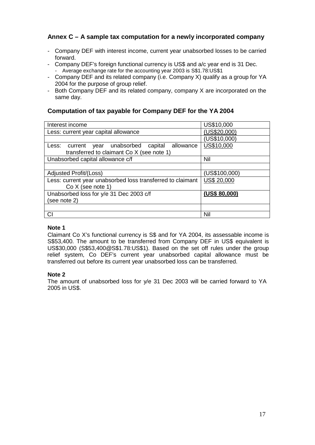## <span id="page-19-0"></span>**Annex C – A sample tax computation for a newly incorporated company**

- Company DEF with interest income, current year unabsorbed losses to be carried forward.
- Company DEF's foreign functional currency is US\$ and a/c year end is 31 Dec.
- Average exchange rate for the accounting year 2003 is S\$1.78:US\$1
- Company DEF and its related company (i.e. Company X) qualify as a group for YA 2004 for the purpose of group relief.
- Both Company DEF and its related company, company X are incorporated on the same day.

## **Computation of tax payable for Company DEF for the YA 2004**

| Interest income                                             | US\$10,000         |
|-------------------------------------------------------------|--------------------|
| Less: current year capital allowance                        | (US\$20,000)       |
|                                                             | (US\$10,000)       |
| unabsorbed<br>capital<br>allowance<br>Less: current<br>year | US\$10,000         |
| transferred to claimant Co X (see note 1)                   |                    |
| Unabsorbed capital allowance c/f                            | Nil                |
|                                                             |                    |
| Adjusted Profit/(Loss)                                      | (US\$100,000)      |
| Less: current year unabsorbed loss transferred to claimant  | <b>US\$ 20,000</b> |
| $Co X$ (see note 1)                                         |                    |
| Unabsorbed loss for y/e 31 Dec 2003 c/f                     | (US\$ 80,000)      |
| (see note 2)                                                |                    |
|                                                             |                    |
| CI                                                          | Nil                |

#### **Note 1**

Claimant Co X's functional currency is S\$ and for YA 2004, its assessable income is S\$53,400. The amount to be transferred from Company DEF in US\$ equivalent is US\$30,000 (S\$53,400@S\$1.78:US\$1). Based on the set off rules under the group relief system, Co DEF's current year unabsorbed capital allowance must be transferred out before its current year unabsorbed loss can be transferred.

## **Note 2**

The amount of unabsorbed loss for y/e 31 Dec 2003 will be carried forward to YA 2005 in US\$.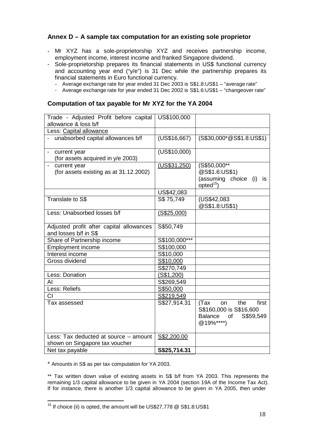## <span id="page-20-0"></span>**Annex D – A sample tax computation for an existing sole proprietor**

- Mr XYZ has a sole-proprietorship XYZ and receives partnership income, employment income, interest income and franked Singapore dividend.
- Sole-proprietorship prepares its financial statements in US\$ functional currency and accounting year end ("y/e") is 31 Dec while the partnership prepares its financial statements in Euro functional currency.
	- Average exchange rate for year ended 31 Dec 2003 is S\$1.8:US\$1 "average rate"
	- Average exchange rate for year ended 31 Dec 2002 is S\$1.6:US\$1 "changeover rate"

#### **Computation of tax payable for Mr XYZ for the YA 2004**

| Trade - Adjusted Profit before capital<br>allowance & loss b/f          | US\$100,000   |                                                                                                  |
|-------------------------------------------------------------------------|---------------|--------------------------------------------------------------------------------------------------|
| Less: Capital allowance                                                 |               |                                                                                                  |
| unabsorbed capital allowances b/f                                       | (US\$16,667)  | (S\$30,000*@S\$1.8:US\$1)                                                                        |
| current year<br>(for assets acquired in y/e 2003)                       | (US\$10,000)  |                                                                                                  |
| current year<br>(for assets existing as at 31.12.2002)                  | (US\$31,250)  | (S\$50,000**<br>@S\$1.6:US\$1)<br>(assuming choice<br>(i)<br>is<br>opted <sup>15</sup> )         |
|                                                                         | US\$42,083    |                                                                                                  |
| <b>Translate to S\$</b>                                                 | S\$ 75,749    | (US\$42,083<br>@S\$1.8:US\$1)                                                                    |
| Less: Unabsorbed losses b/f                                             | (S\$25,000)   |                                                                                                  |
| Adjusted profit after capital allowances<br>and losses b/f in S\$       | S\$50,749     |                                                                                                  |
| Share of Partnership income                                             | S\$100,000*** |                                                                                                  |
| <b>Employment income</b>                                                | S\$100,000    |                                                                                                  |
| Interest income                                                         | S\$10,000     |                                                                                                  |
| Gross dividend                                                          | S\$10,000     |                                                                                                  |
|                                                                         | S\$270,749    |                                                                                                  |
| Less: Donation                                                          | (S\$1,200)    |                                                                                                  |
| Al                                                                      | S\$269,549    |                                                                                                  |
| Less: Reliefs                                                           | S\$50,000     |                                                                                                  |
| CI                                                                      | S\$219,549    |                                                                                                  |
| Tax assessed                                                            | S\$27,914.31  | first<br>the<br>(Tax<br>on<br>S\$160,000 is S\$16,600<br>Balance<br>S\$59,549<br>of<br>@19%****) |
| Less: Tax deducted at source - amount<br>shown on Singapore tax voucher | S\$2,200.00   |                                                                                                  |
| Net tax payable                                                         | S\$25,714.31  |                                                                                                  |

\* Amounts in S\$ as per tax computation for YA 2003.

\*\* Tax written down value of existing assets in S\$ b/f from YA 2003. This represents the remaining 1/3 capital allowance to be given in YA 2004 (section 19A of the Income Tax Act). If for instance, there is another 1/3 capital allowance to be given in YA 2005, then under

 $15$  If choice (ii) is opted, the amount will be US\$27,778  $@$  S\$1.8:US\$1